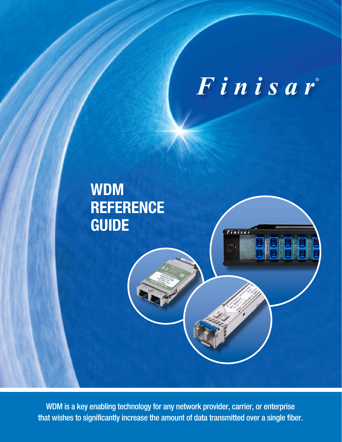Finisar

Finisar

# **WDM REFERENCE GUIDE**

WDM is a key enabling technology for any network provider, carrier, or enterprise that wishes to significantly increase the amount of data transmitted over a single fiber.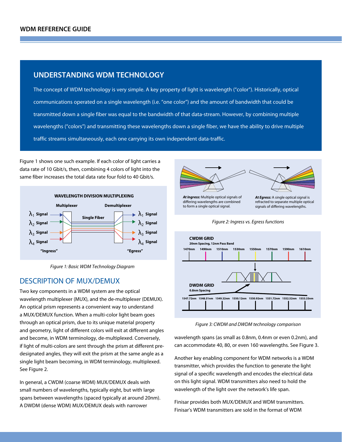#### **UNDERSTANDING WDM TECHNOLOGY**

The concept of WDM technology is very simple. A key property of light is wavelength ("color"). Historically, optical communications operated on a single wavelength (i.e. "one color") and the amount of bandwidth that could be transmitted down a single fiber was equal to the bandwidth of that data-stream. However, by combining multiple wavelengths ("colors") and transmitting these wavelengths down a single fiber, we have the ability to drive multiple traffic streams simultaneously, each one carrying its own independent data-traffic.

Figure 1 shows one such example. If each color of light carries a data rate of 10 Gbit/s, then, combining 4 colors of light into the same fiber increases the total data rate four fold to 40 Gbit/s.



*Figure 1: Basic WDM Technology Diagram*

## DESCRIPTION OF MUX/DEMUX

Two key components in a WDM system are the optical wavelength multiplexer (MUX), and the de-multiplexer (DEMUX). An optical prism represents a convenient way to understand a MUX/DEMUX function. When a multi-color light beam goes through an optical prism, due to its unique material property and geometry, light of different colors will exit at different angles and become, in WDM terminology, de-multiplexed. Conversely, if light of multi-colors are sent through the prism at different predesignated angles, they will exit the prism at the same angle as a single light beam becoming, in WDM terminology, multiplexed. See Figure 2.

In general, a CWDM (coarse WDM) MUX/DEMUX deals with small numbers of wavelengths, typically eight, but with large spans between wavelengths (spaced typically at around 20nm). A DWDM (dense WDM) MUX/DEMUX deals with narrower



*At Ingress:* Multiple optical signals of differing wavelengths are combined to form a single optical signal.

*At Egress:* A single optical signal is refracted to separate multiple optical signals of differing wavelengths.





*Figure 3: CWDM and DWDM technology comparison*

wavelength spans (as small as 0.8nm, 0.4nm or even 0.2nm), and can accommodate 40, 80, or even 160 wavelengths. See Figure 3.

Another key enabling component for WDM networks is a WDM transmitter, which provides the function to generate the light signal of a specific wavelength and encodes the electrical data on this light signal. WDM transmitters also need to hold the wavelength of the light over the network's life span.

Finisar provides both MUX/DEMUX and WDM transmitters. Finisar's WDM transmitters are sold in the format of WDM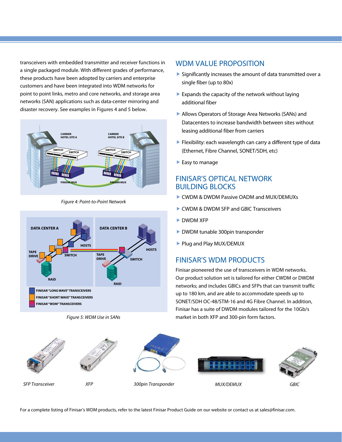transceivers with embedded transmitter and receiver functions in a single packaged module. With different grades of performance, these products have been adopted by carriers and enterprise customers and have been integrated into WDM networks for point to point links, metro and core networks, and storage area networks (SAN) applications such as data-center mirroring and disaster recovery. See examples in Figures 4 and 5 below.



*Figure 4: Point-to-Point Network*













*SFP Transceiver XFP 300pin Transponder MUX/DEMUX GBIC*

For a complete listing of Finisar's WDM products, refer to the latest Finisar Product Guide on our website or contact us at sales@finisar.com.

#### WDM VALUE PROPOSITION

- $\triangleright$  Significantly increases the amount of data transmitted over a single fiber (up to 80x)
- $\blacktriangleright$  Expands the capacity of the network without laying additional fiber
- Allows Operators of Storage Area Networks (SANs) and Datacenters to increase bandwidth between sites without leasing additional fiber from carriers
- **Flexibility: each wavelength can carry a different type of data** (Ethernet, Fibre Channel, SONET/SDH, etc)
- $\blacktriangleright$  Easy to manage

# FINISAR'S OPTICAL NETWORK BUILDING BLOCKS

- ▶ CWDM & DWDM Passive OADM and MUX/DEMUXs
- CWDM & DWDM SFP and GBIC Transceivers
- DWDM XFP
- DWDM tunable 300pin transponder
- Plug and Play MUX/DEMUX

## FINISAR'S WDM PRODUCTS

Finisar pioneered the use of transceivers in WDM networks. Our product solution set is tailored for either CWDM or DWDM networks; and includes GBICs and SFPs that can transmit traffic up to 180 km, and are able to accommodate speeds up to SONET/SDH OC-48/STM-16 and 4G Fibre Channel. In addition, Finisar has a suite of DWDM modules tailored for the 10Gb/s market in both XFP and 300-pin form factors.